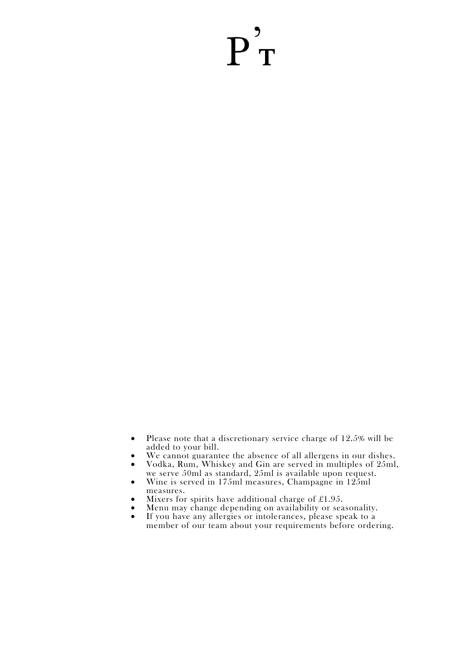# $P_T'$

- Please note that a discretionary service charge of 12.5% will be added to your bill.
- We cannot guarantee the absence of all allergens in our dishes.
- Vodka, Rum, Whiskey and Gin are served in multiples of 25ml, we serve 50ml as standard, 25ml is available upon request.
- Wine is served in 175ml measures, Champagne in 125ml measures.
- Mixers for spirits have additional charge of  $£1.95$ .
- Menu may change depending on availability or seasonality.<br>• If you have any allergies or intolerances, please speak to a
- If you have any allergies or intolerances, please speak to a member of our team about your requirements before ordering.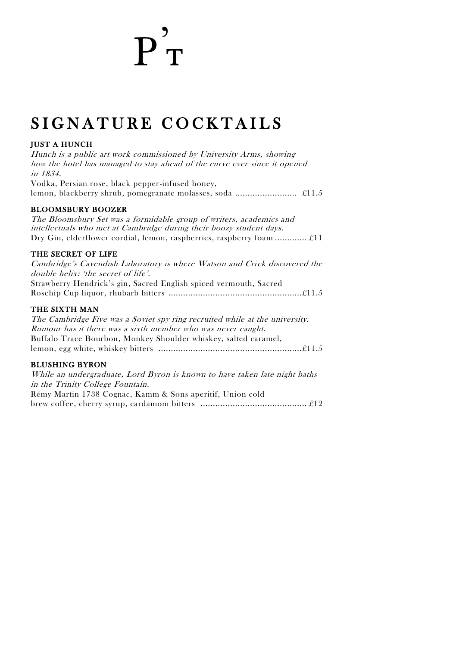# $\overline{\mathbf{p}}_{\ \mathbf{T}}^{\prime}$

## SIGNATURE COCKTAILS

### JUST A HUNCH

Hunch is a public art work commissioned by University Arms, showing how the hotel has managed to stay ahead of the curve ever since it opened in 1834. Vodka, Persian rose, black pepper-infused honey, lemon, blackberry shrub, pomegranate molasses, soda ......................... £11.5

#### BLOOMSBURY BOOZER

The Bloomsbury Set was a formidable group of writers, academics and intellectuals who met at Cambridge during their boozy student days. Dry Gin, elderflower cordial, lemon, raspberries, raspberry foam ............. £11

#### THE SECRET OF LIFE

Cambridge's Cavendish Laboratory is where Watson and Crick discovered the double helix: 'the secret of life'. Strawberry Hendrick's gin, Sacred English spiced vermouth, Sacred Rosehip Cup liquor, rhubarb bitters ......................................................£11.5

#### THE SIXTH MAN

The Cambridge Five was a Soviet spy ring recruited while at the university. Rumour has it there was a sixth member who was never caught. Buffalo Trace Bourbon, Monkey Shoulder whiskey, salted caramel, lemon, egg white, whiskey bitters ..........................................................£11.5

### BLUSHING BYRON

While an undergraduate, Lord Byron is known to have taken late night baths in the Trinity College Fountain. Rémy Martin 1738 Cognac, Kamm & Sons aperitif, Union cold brew coffee, cherry syrup, cardamom bitters ........................................... £12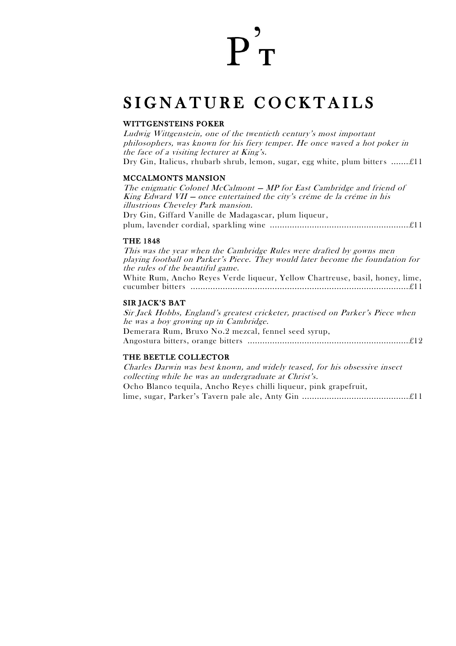# $\overline{P}_{\rm T}^2$

## SIGNATURE COCKTAILS

#### WITTGENSTEINS POKER

Ludwig Wittgenstein, one of the twentieth century's most important philosophers, was known for his fiery temper. He once waved a hot poker in the face of a visiting lecturer at King's. Dry Gin, Italicus, rhubarb shrub, lemon, sugar, egg white, plum bitters ....... £11

#### MCCALMONTS MANSION

The enigmatic Colonel McCalmont — MP for East Cambridge and friend of King Edward VII — once entertained the city's créme de la créme in his illustrious Cheveley Park mansion. Dry Gin, Giffard Vanille de Madagascar, plum liqueur, plum, lavender cordial, sparkling wine ........................................................ £11

#### THE 1848

This was the year when the Cambridge Rules were drafted by gowns men playing football on Parker's Piece. They would later become the foundation for the rules of the beautiful game. White Rum, Ancho Reyes Verde liqueur, Yellow Chartreuse, basil, honey, lime, cucumber bitters ........................................................................................ £11

#### SIR JACK'S BAT

Sir Jack Hobbs, England's greatest cricketer, practised on Parker's Piece when he was a boy growing up in Cambridge. Demerara Rum, Bruxo No.2 mezcal, fennel seed syrup, Angostura bitters, orange bitters ................................................................. £12

#### THE BEETLE COLLECTOR

Charles Darwin was best known, and widely teased, for his obsessive insect collecting while he was an undergraduate at Christ's. Ocho Blanco tequila, Ancho Reyes chilli liqueur, pink grapefruit, lime, sugar, Parker's Tavern pale ale, Anty Gin ........................................... £11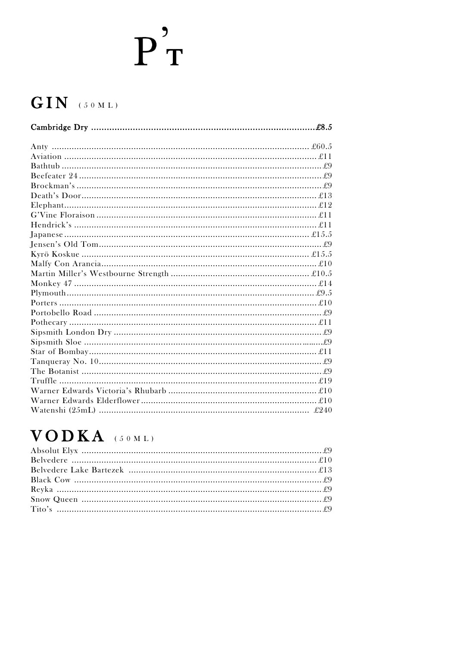## $GIN$  (50 ML)

## $VODKA$  (50ML)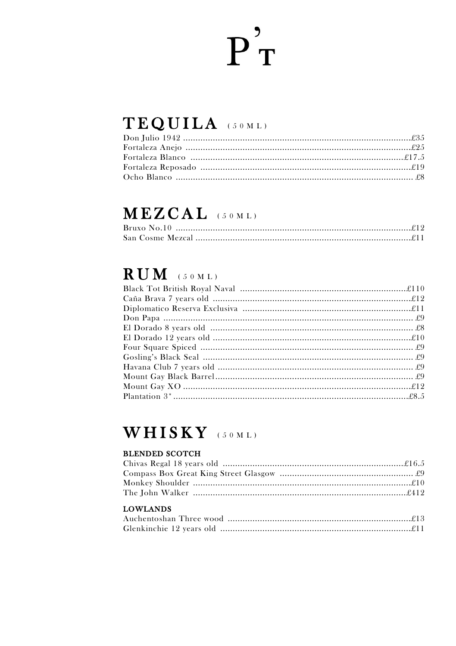## TEQUILA (50ML)

## MEZCAL (50ML)

## $RUM$  (50 ML)

## WHISKY (50ML)

### **BLENDED SCOTCH**

| <b>LOWLANDS</b> |  |
|-----------------|--|
|                 |  |
|                 |  |
|                 |  |
|                 |  |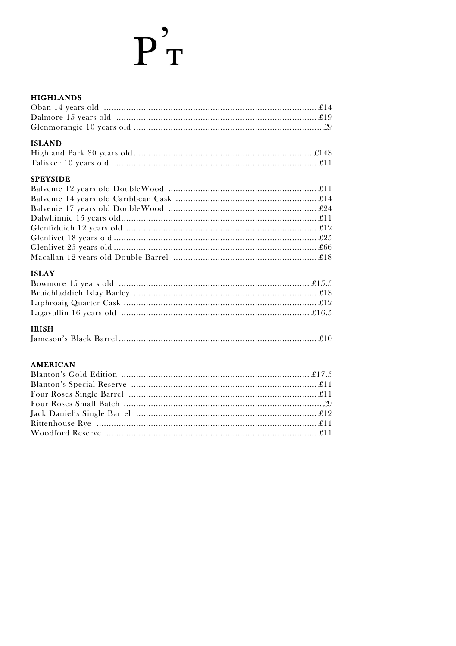### **HIGHLANDS**

| ,,,,,,,,,,,,,,,,, |  |
|-------------------|--|
|                   |  |
|                   |  |
|                   |  |
|                   |  |

### **ISLAND**

### **SPEYSIDE**

### **ISLAY**

### **IRISH**

### **AMERICAN**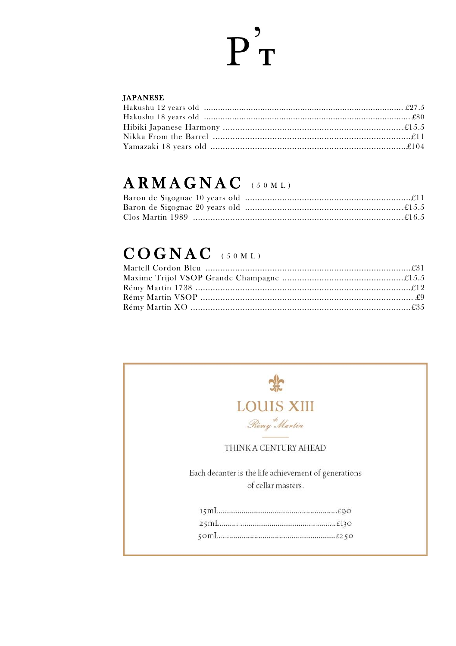#### **JAPANESE**

## ARMAGNAC (50ML)

## $COGNAC$  (50ML)

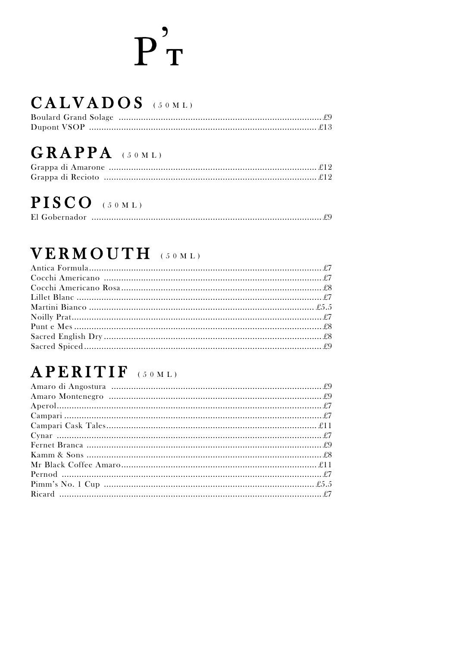# $P_T^{''}$

## CALVADOS (50ML)

## GRAPPA (50ML)

## PISCO (50ML)

|--|--|

## VERMOUTH (50ML)

## APERITIF (50ML)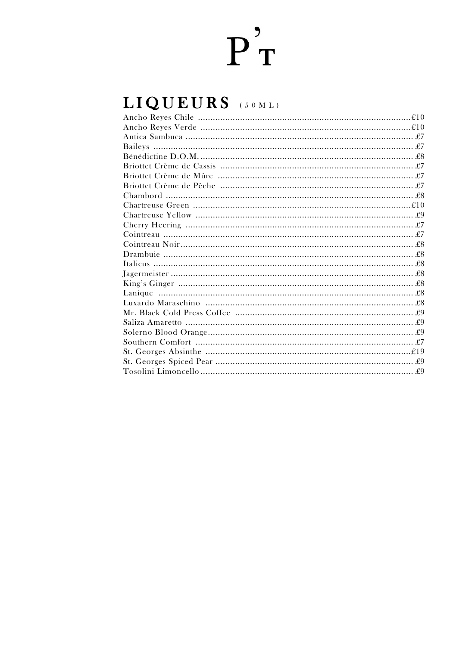## LIQUEURS (50ML)

| Bénédictine D.O.M. |  |
|--------------------|--|
|                    |  |
|                    |  |
|                    |  |
|                    |  |
|                    |  |
|                    |  |
|                    |  |
|                    |  |
|                    |  |
|                    |  |
|                    |  |
|                    |  |
|                    |  |
|                    |  |
|                    |  |
|                    |  |
|                    |  |
|                    |  |
|                    |  |
|                    |  |
|                    |  |
|                    |  |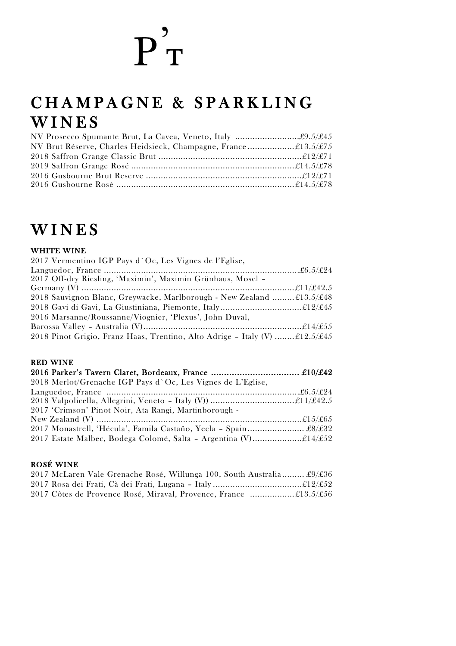## CHAMPAGNE & SPARKLING **WINES**

| NV Brut Réserve, Charles Heidsieck, Champagne, France£13.5/£75 |  |
|----------------------------------------------------------------|--|
|                                                                |  |
|                                                                |  |
|                                                                |  |
|                                                                |  |

## **WINES**

#### WHITE WINE

| 2017 Vermentino IGP Pays d'Oc, Les Vignes de l'Eglise,                      |  |
|-----------------------------------------------------------------------------|--|
|                                                                             |  |
| 2017 Off-dry Riesling, 'Maximin', Maximin Grünhaus, Mosel -                 |  |
|                                                                             |  |
| 2018 Sauvignon Blanc, Greywacke, Marlborough - New Zealand £13.5/£48        |  |
|                                                                             |  |
| 2016 Marsanne/Roussanne/Viognier, 'Plexus', John Duval,                     |  |
|                                                                             |  |
| 2018 Pinot Grigio, Franz Haas, Trentino, Alto Adrige - Italy (V)  £12.5/£45 |  |

### RED WINE

| 2018 Merlot/Grenache IGP Pays d'Oc, Les Vignes de L'Eglise,     |  |
|-----------------------------------------------------------------|--|
|                                                                 |  |
|                                                                 |  |
| 2017 'Crimson' Pinot Noir, Ata Rangi, Martinborough -           |  |
|                                                                 |  |
| 2017 Monastrell, 'Hécula', Famila Castaño, Yecla - Spain £8/£32 |  |
|                                                                 |  |

### ROSÉ WINE

| 2017 McLaren Vale Grenache Rosé, Willunga 100, South Australia £9/£36 |  |
|-----------------------------------------------------------------------|--|
|                                                                       |  |
| 2017 Côtes de Provence Rosé, Miraval, Provence, France £13.5/£56      |  |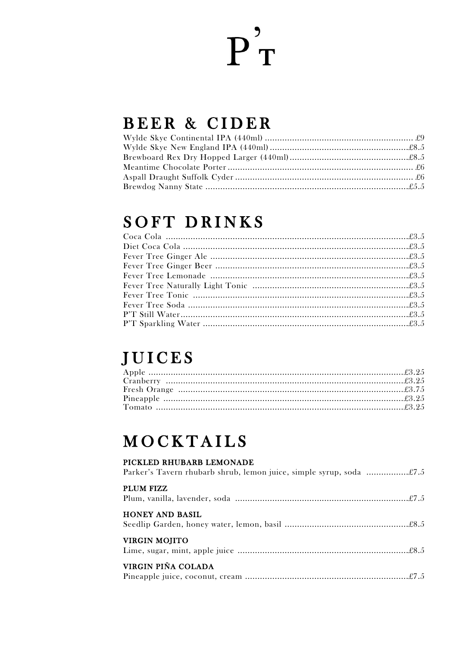## BEER & CIDER

## **SOFT DRINKS**

## **JUICES**

## **MOCKTAILS**

### PICKLED RHUBARB LEMONADE

| PLUM FIZZ              |
|------------------------|
| <b>HONEY AND BASIL</b> |
| <b>VIRGIN MOJITO</b>   |
| VIRGIN PIÑA COLADA     |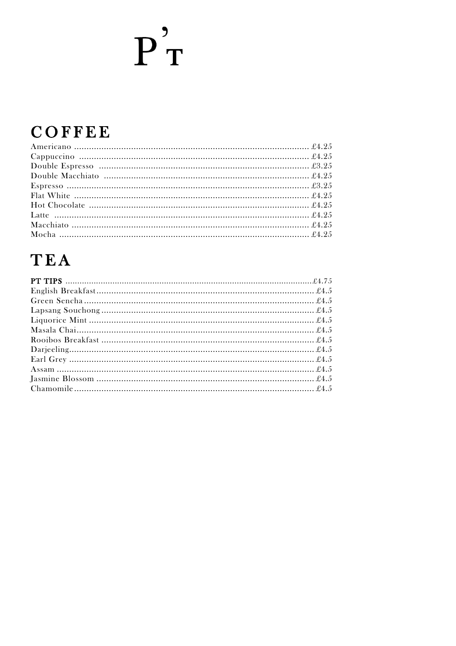## COFFEE

## **TEA**